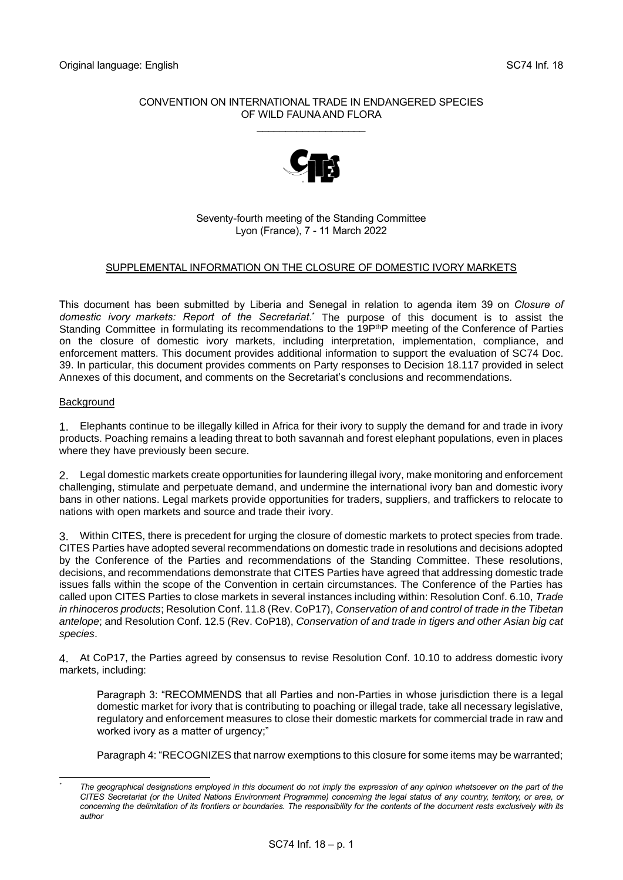## CONVENTION ON INTERNATIONAL TRADE IN ENDANGERED SPECIES OF WILD FAUNA AND FLORA

\_\_\_\_\_\_\_\_\_\_\_\_\_\_\_\_\_\_\_



# Seventy-fourth meeting of the Standing Committee Lyon (France), 7 - 11 March 2022

# SUPPLEMENTAL INFORMATION ON THE CLOSURE OF DOMESTIC IVORY MARKETS

This document has been submitted by Liberia and Senegal in relation to agenda item 39 on *Closure of domestic ivory markets: Report of the Secretariat*. \* The purpose of this document is to assist the Standing Committee in formulating its recommendations to the 19P<sup>th</sup>P meeting of the Conference of Parties on the closure of domestic ivory markets, including interpretation, implementation, compliance, and enforcement matters. This document provides additional information to support the evaluation of SC74 Doc. 39. In particular, this document provides comments on Party responses to Decision 18.117 provided in select Annexes of this document, and comments on the Secretariat's conclusions and recommendations.

### **Background**

1. Elephants continue to be illegally killed in Africa for their ivory to supply the demand for and trade in ivory products. Poaching remains a leading threat to both savannah and forest elephant populations, even in places where they have previously been secure.

2. Legal domestic markets create opportunities for laundering illegal ivory, make monitoring and enforcement challenging, stimulate and perpetuate demand, and undermine the international ivory ban and domestic ivory bans in other nations. Legal markets provide opportunities for traders, suppliers, and traffickers to relocate to nations with open markets and source and trade their ivory.

3. Within CITES, there is precedent for urging the closure of domestic markets to protect species from trade. CITES Parties have adopted several recommendations on domestic trade in resolutions and decisions adopted by the Conference of the Parties and recommendations of the Standing Committee. These resolutions, decisions, and recommendations demonstrate that CITES Parties have agreed that addressing domestic trade issues falls within the scope of the Convention in certain circumstances. The Conference of the Parties has called upon CITES Parties to close markets in several instances including within: Resolution Conf. 6.10, *Trade in rhinoceros products*; Resolution Conf. 11.8 (Rev. CoP17), *Conservation of and control of trade in the Tibetan antelope*; and Resolution Conf. 12.5 (Rev. CoP18), *Conservation of and trade in tigers and other Asian big cat species*.

4. At CoP17, the Parties agreed by consensus to revise Resolution Conf. 10.10 to address domestic ivory markets, including:

Paragraph 3: "RECOMMENDS that all Parties and non-Parties in whose jurisdiction there is a legal domestic market for ivory that is contributing to poaching or illegal trade, take all necessary legislative, regulatory and enforcement measures to close their domestic markets for commercial trade in raw and worked ivory as a matter of urgency;"

Paragraph 4: "RECOGNIZES that narrow exemptions to this closure for some items may be warranted;

*<sup>\*</sup> The geographical designations employed in this document do not imply the expression of any opinion whatsoever on the part of the CITES Secretariat (or the United Nations Environment Programme) concerning the legal status of any country, territory, or area, or concerning the delimitation of its frontiers or boundaries. The responsibility for the contents of the document rests exclusively with its author*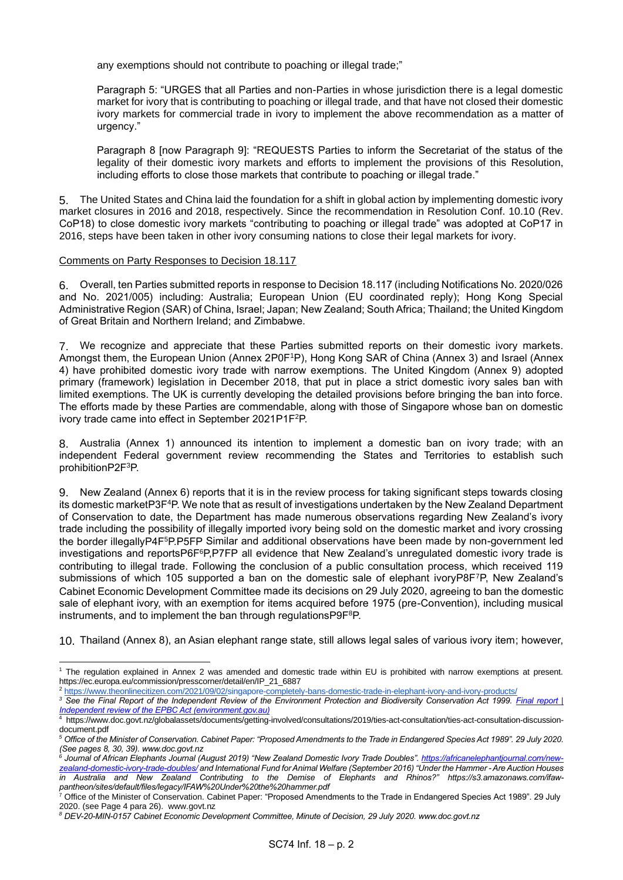any exemptions should not contribute to poaching or illegal trade;"

Paragraph 5: "URGES that all Parties and non-Parties in whose jurisdiction there is a legal domestic market for ivory that is contributing to poaching or illegal trade, and that have not closed their domestic ivory markets for commercial trade in ivory to implement the above recommendation as a matter of urgency."

Paragraph 8 [now Paragraph 9]: "REQUESTS Parties to inform the Secretariat of the status of the legality of their domestic ivory markets and efforts to implement the provisions of this Resolution, including efforts to close those markets that contribute to poaching or illegal trade."

5. The United States and China laid the foundation for a shift in global action by implementing domestic ivory market closures in 2016 and 2018, respectively. Since the recommendation in Resolution Conf. 10.10 (Rev. CoP18) to close domestic ivory markets "contributing to poaching or illegal trade" was adopted at CoP17 in 2016, steps have been taken in other ivory consuming nations to close their legal markets for ivory.

#### Comments on Party Responses to Decision 18.117

6. Overall, ten Parties submitted reports in response to Decision 18.117 (including Notifications No. 2020/026 and No. 2021/005) including: Australia; European Union (EU coordinated reply); Hong Kong Special Administrative Region (SAR) of China, Israel; Japan; New Zealand; South Africa; Thailand; the United Kingdom of Great Britain and Northern Ireland; and Zimbabwe.

7. We recognize and appreciate that these Parties submitted reports on their domestic ivory markets. Amongst them, the European Union (Annex 2P0F<sup>1</sup>P), Hong Kong SAR of China (Annex 3) and Israel (Annex 4) have prohibited domestic ivory trade with narrow exemptions. The United Kingdom (Annex 9) adopted primary (framework) legislation in December 2018, that put in place a strict domestic ivory sales ban with limited exemptions. The UK is currently developing the detailed provisions before bringing the ban into force. The efforts made by these Parties are commendable, along with those of Singapore whose ban on domestic ivory trade came into effect in September 2021P1F<sup>2</sup>P.

8. Australia (Annex 1) announced its intention to implement a domestic ban on ivory trade; with an independent Federal government review recommending the States and Territories to establish such prohibitionP2F<sup>3</sup>P.

9. New Zealand (Annex 6) reports that it is in the review process for taking significant steps towards closing its domestic marketP3F<sup>4</sup>P. We note that as result of investigations undertaken by the New Zealand Department of Conservation to date, the Department has made numerous observations regarding New Zealand's ivory trade including the possibility of illegally imported ivory being sold on the domestic market and ivory crossing the border illegallyP4F<sup>5</sup>P.P5FP Similar and additional observations have been made by non-government led investigations and reportsP6F<sup>6</sup>P,P7FP all evidence that New Zealand's unregulated domestic ivory trade is contributing to illegal trade. Following the conclusion of a public consultation process, which received 119 submissions of which 105 supported a ban on the domestic sale of elephant ivoryP8F7P, New Zealand's Cabinet Economic Development Committee made its decisions on 29 July 2020, agreeing to ban the domestic sale of elephant ivory, with an exemption for items acquired before 1975 (pre-Convention), including musical instruments, and to implement the ban through regulationsP9F<sup>8</sup>P.

10. Thailand (Annex 8), an Asian elephant range state, still allows legal sales of various ivory item; however,

<sup>1</sup> The regulation explained in Annex 2 was amended and domestic trade within EU is prohibited with narrow exemptions at present. [https://ec.europa.eu/commission/presscorner/detail/en/IP\\_21\\_6887](https://ec.europa.eu/commission/presscorner/detail/en/IP_21_6887)

<sup>2</sup> <https://www.theonlinecitizen.com/2021/09/02/singapore-completely-bans-domestic-trade-in-elephant-ivory-and-ivory-products/>

*<sup>3</sup> See the Final Report of the Independent Review of the Environment Protection and Biodiversity Conservation Act 1999. [Final report |](https://epbcactreview.environment.gov.au/resources/final-report)  [Independent review of the EPBC Act \(environment.gov.au\)](https://epbcactreview.environment.gov.au/resources/final-report)*

<sup>4</sup> [https://www.doc.govt.nz/globalassets/documents/getting-involved/consultations/2019/ties-act-consultation/ties-act-consultation-discussion](https://www.doc.govt.nz/globalassets/documents/getting-involved/consultations/2019/ties-act-consultation/ties-act-consultation-discussion-document.pdf)[document.pdf](https://www.doc.govt.nz/globalassets/documents/getting-involved/consultations/2019/ties-act-consultation/ties-act-consultation-discussion-document.pdf) 

*<sup>5</sup> Office of the Minister of Conservation. Cabinet Paper: "Proposed Amendments to the Trade in Endangered Species Act 1989". 29 July 2020. (See pages 8, 30, 39). www.doc.govt.nz*

*<sup>6</sup> Journal of African Elephants Journal (August 2019) "New Zealand Domestic Ivory Trade Doubles". [https://africanelephantjournal.com/new](https://africanelephantjournal.com/new-zealand-domestic-ivory-trade-doubles/)[zealand-domestic-ivory-trade-doubles/](https://africanelephantjournal.com/new-zealand-domestic-ivory-trade-doubles/) and International Fund for Animal Welfare (September 2016) "Under the Hammer -Are Auction Houses in Australia and New Zealand Contributing to the Demise of Elephants and Rhinos?" https://s3.amazonaws.com/ifawpantheon/sites/default/files/legacy/IFAW%20Under%20the%20hammer.pdf*<br><sup>7</sup> Office of the Minister of Conservation

<sup>7</sup> Office of the Minister of Conservation. Cabinet Paper: "Proposed Amendments to the Trade in Endangered Species Act 1989". 29 July 2020. (see Page 4 para 26). www.govt.nz

*<sup>8</sup> DEV-20-MIN-0157 Cabinet Economic Development Committee, Minute of Decision, 29 July 2020. www.doc.govt.nz*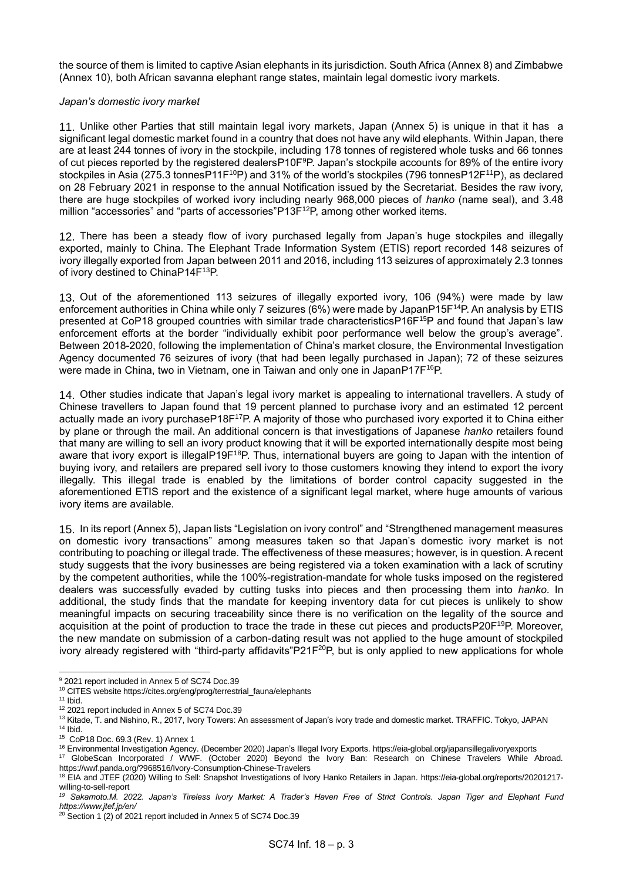the source of them is limited to captive Asian elephants in its jurisdiction. South Africa (Annex 8) and Zimbabwe (Annex 10), both African savanna elephant range states, maintain legal domestic ivory markets.

### *Japan's domestic ivory market*

11. Unlike other Parties that still maintain legal ivory markets, Japan (Annex 5) is unique in that it has a significant legal domestic market found in a country that does not have any wild elephants. Within Japan, there are at least 244 tonnes of ivory in the stockpile, including 178 tonnes of registered whole tusks and 66 tonnes of cut pieces reported by the registered dealersP10F<sup>9</sup>P. Japan's stockpile accounts for 89% of the entire ivory stockpiles in Asia (275.3 tonnesP11F<sup>10</sup>P) and 31% of the world's stockpiles (796 tonnesP12F<sup>11</sup>P), as declared on 28 February 2021 in response to the annual Notification issued by the Secretariat. Besides the raw ivory, there are huge stockpiles of worked ivory including nearly 968,000 pieces of *hanko* (name seal), and 3.48 million "accessories" and "parts of accessories"P13F<sup>12</sup>P, among other worked items.

12. There has been a steady flow of ivory purchased legally from Japan's huge stockpiles and illegally exported, mainly to China. The Elephant Trade Information System (ETIS) report recorded 148 seizures of ivory illegally exported from Japan between 2011 and 2016, including 113 seizures of approximately 2.3 tonnes of ivory destined to ChinaP14F<sup>13</sup>P.

13. Out of the aforementioned 113 seizures of illegally exported ivory, 106 (94%) were made by law enforcement authorities in China while only 7 seizures (6%) were made by JapanP15F<sup>14</sup>P. An analysis by ETIS presented at CoP18 grouped countries with similar trade characteristicsP16F<sup>15</sup>P and found that Japan's law enforcement efforts at the border "individually exhibit poor performance well below the group's average". Between 2018-2020, following the implementation of China's market closure, the Environmental Investigation Agency documented 76 seizures of ivory (that had been legally purchased in Japan); 72 of these seizures were made in China, two in Vietnam, one in Taiwan and only one in JapanP17F<sup>16</sup>P.

14. Other studies indicate that Japan's legal ivory market is appealing to international travellers. A study of Chinese travellers to Japan found that 19 percent planned to purchase ivory and an estimated 12 percent actually made an ivory purchaseP18F<sup>17</sup>P. A majority of those who purchased ivory exported it to China either by plane or through the mail. An additional concern is that investigations of Japanese *hanko* retailers found that many are willing to sell an ivory product knowing that it will be exported internationally despite most being aware that ivory export is illegalP19F<sup>18</sup>P. Thus, international buyers are going to Japan with the intention of buying ivory, and retailers are prepared sell ivory to those customers knowing they intend to export the ivory illegally. This illegal trade is enabled by the limitations of border control capacity suggested in the aforementioned ETIS report and the existence of a significant legal market, where huge amounts of various ivory items are available.

15. In its report (Annex 5), Japan lists "Legislation on ivory control" and "Strengthened management measures on domestic ivory transactions" among measures taken so that Japan's domestic ivory market is not contributing to poaching or illegal trade. The effectiveness of these measures; however, is in question. A recent study suggests that the ivory businesses are being registered via a token examination with a lack of scrutiny by the competent authorities, while the 100%-registration-mandate for whole tusks imposed on the registered dealers was successfully evaded by cutting tusks into pieces and then processing them into *hanko*. In additional, the study finds that the mandate for keeping inventory data for cut pieces is unlikely to show meaningful impacts on securing traceability since there is no verification on the legality of the source and acquisition at the point of production to trace the trade in these cut pieces and productsP20F<sup>19</sup>P. Moreover, the new mandate on submission of a carbon-dating result was not applied to the huge amount of stockpiled ivory already registered with "third-party affidavits" $P21F^{20}P$ , but is only applied to new applications for whole

<sup>9</sup> 2021 report included in Annex 5 of SC74 Doc.39

<sup>10</sup> CITES websit[e](https://cites.org/eng/prog/terrestrial_fauna/elephants) [https://cites.org/eng/prog/terrestrial\\_fauna/elephants](https://cites.org/eng/prog/terrestrial_fauna/elephants) 

 $11$  Ibid.

<sup>12</sup> 2021 report included in Annex 5 of SC74 Doc.39

<sup>13</sup> Kitade, T. and Nishino, R., 2017, Ivory Towers: An assessment of Japan's ivory trade and domestic market. TRAFFIC. Tokyo, JAPAN  $14$  Ibid.

<sup>15</sup> CoP18 Doc. 69.3 (Rev. 1) Annex 1

<sup>16</sup> Environmental Investigation Agency. (December 2020) Japan's Illegal Ivory Exports[. https://eia-global.org/japansillegalivoryexports](https://eia-global.org/japansillegalivoryexports) 

<sup>17</sup> GlobeScan Incorporated / WWF. (October 2020) Beyond the Ivory Ban: Research on Chinese Travelers While Abroad. <https://wwf.panda.org/?968516/Ivory-Consumption-Chinese-Travelers>

<sup>&</sup>lt;sup>18</sup> EIA and JTEF (2020) Willing to Sell: Snapshot Investigations of Ivory Hanko Retailers in Japan. [https://eia-global.org/reports/20201217](https://eia-global.org/reports/20201217-willing-to-sell-report) [willing-to-sell-report](https://eia-global.org/reports/20201217-willing-to-sell-report)

*<sup>19</sup> Sakamoto.M. 2022. Japan's Tireless Ivory Market: A Trader's Haven Free of Strict Controls. Japan Tiger and Elephant Fund https://www.jtef.jp/en/*

 $20$  Section 1 (2) of 2021 report included in Annex 5 of SC74 Doc.39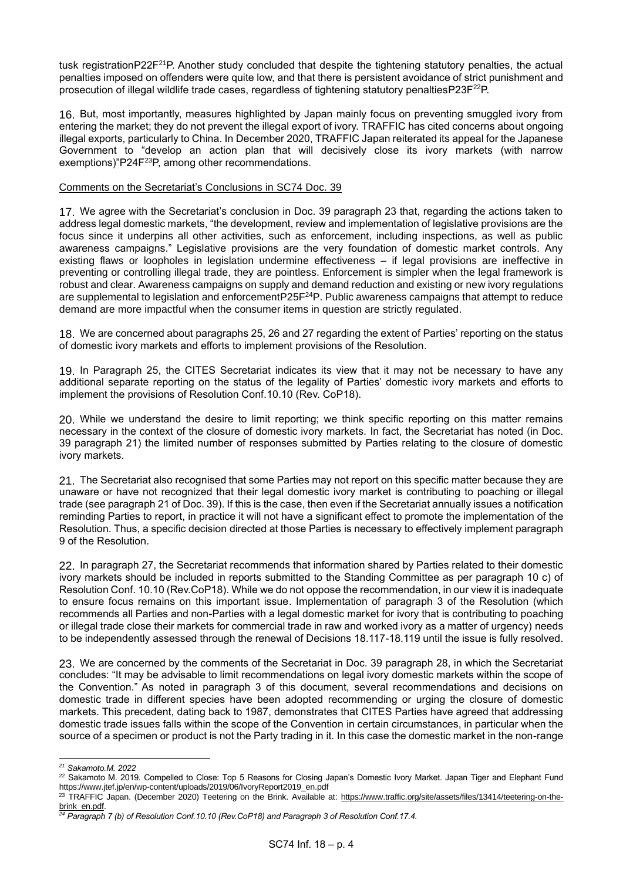tusk registrationP22F<sup>21</sup>P. Another study concluded that despite the tightening statutory penalties, the actual penalties imposed on offenders were quite low, and that there is persistent avoidance of strict punishment and prosecution of illegal wildlife trade cases, regardless of tightening statutory penaltiesP23F<sup>22</sup>P.

16. But, most importantly, measures highlighted by Japan mainly focus on preventing smuggled ivory from entering the market; they do not prevent the illegal export of ivory. TRAFFIC has cited concerns about ongoing illegal exports, particularly to China. In December 2020, TRAFFIC Japan reiterated its appeal for the Japanese Government to "develop an action plan that will decisively close its ivory markets (with narrow exemptions)"P24F<sup>23</sup>P, among other recommendations.

### Comments on the Secretariat's Conclusions in SC74 Doc. 39

17. We agree with the Secretariat's conclusion in Doc. 39 paragraph 23 that, regarding the actions taken to address legal domestic markets, "the development, review and implementation of legislative provisions are the focus since it underpins all other activities, such as enforcement, including inspections, as well as public awareness campaigns." Legislative provisions are the very foundation of domestic market controls. Any existing flaws or loopholes in legislation undermine effectiveness – if legal provisions are ineffective in preventing or controlling illegal trade, they are pointless. Enforcement is simpler when the legal framework is robust and clear. Awareness campaigns on supply and demand reduction and existing or new ivory regulations are supplemental to legislation and enforcementP25F<sup>24</sup>P. Public awareness campaigns that attempt to reduce demand are more impactful when the consumer items in question are strictly regulated.

18. We are concerned about paragraphs 25, 26 and 27 regarding the extent of Parties' reporting on the status of domestic ivory markets and efforts to implement provisions of the Resolution.

19. In Paragraph 25, the CITES Secretariat indicates its view that it may not be necessary to have any additional separate reporting on the status of the legality of Parties' domestic ivory markets and efforts to implement the provisions of Resolution Conf.10.10 (Rev. CoP18).

20. While we understand the desire to limit reporting; we think specific reporting on this matter remains necessary in the context of the closure of domestic ivory markets. In fact, the Secretariat has noted (in Doc. 39 paragraph 21) the limited number of responses submitted by Parties relating to the closure of domestic ivory markets.

21. The Secretariat also recognised that some Parties may not report on this specific matter because they are unaware or have not recognized that their legal domestic ivory market is contributing to poaching or illegal trade (see paragraph 21 of Doc. 39). If this is the case, then even if the Secretariat annually issues a notification reminding Parties to report, in practice it will not have a significant effect to promote the implementation of the Resolution. Thus, a specific decision directed at those Parties is necessary to effectively implement paragraph 9 of the Resolution.

22. In paragraph 27, the Secretariat recommends that information shared by Parties related to their domestic ivory markets should be included in reports submitted to the Standing Committee as per paragraph 10 c) of Resolution Conf. 10.10 (Rev.CoP18). While we do not oppose the recommendation, in our view it is inadequate to ensure focus remains on this important issue. Implementation of paragraph 3 of the Resolution (which recommends all Parties and non-Parties with a legal domestic market for ivory that is contributing to poaching or illegal trade close their markets for commercial trade in raw and worked ivory as a matter of urgency) needs to be independently assessed through the renewal of Decisions 18.117-18.119 until the issue is fully resolved.

23. We are concerned by the comments of the Secretariat in Doc. 39 paragraph 28, in which the Secretariat concludes: "It may be advisable to limit recommendations on legal ivory domestic markets within the scope of the Convention." As noted in paragraph 3 of this document, several recommendations and decisions on domestic trade in different species have been adopted recommending or urging the closure of domestic markets. This precedent, dating back to 1987, demonstrates that CITES Parties have agreed that addressing domestic trade issues falls within the scope of the Convention in certain circumstances, in particular when the source of a specimen or product is not the Party trading in it. In this case the domestic market in the non-range

*<sup>21</sup> Sakamoto.M. 2022*

<sup>&</sup>lt;sup>22</sup> Sakamoto M. 2019. Compelled to Close: Top 5 Reasons for Closing Japan's Domestic Ivory Market. Japan Tiger and Elephant Fund [https://www.jtef.jp/en/wp-content/uploads/2019/06/IvoryReport2019\\_en.pdf](https://www.jtef.jp/en/wp-content/uploads/2019/06/IvoryReport2019_en.pdf)

<sup>&</sup>lt;sup>23</sup> TRAFFIC Japan. (December 2020) Teetering on the Brink. Available at: [https://www.traffic.org/site/assets/files/13414/teetering-on-the](https://www.traffic.org/site/assets/files/13414/teetering-on-the-brink_en.pdf)brink\_en.pdf.

*<sup>24</sup> Paragraph 7 (b) of Resolution Conf.10.10 (Rev.CoP18) and Paragraph 3 of Resolution Conf.17.4.*